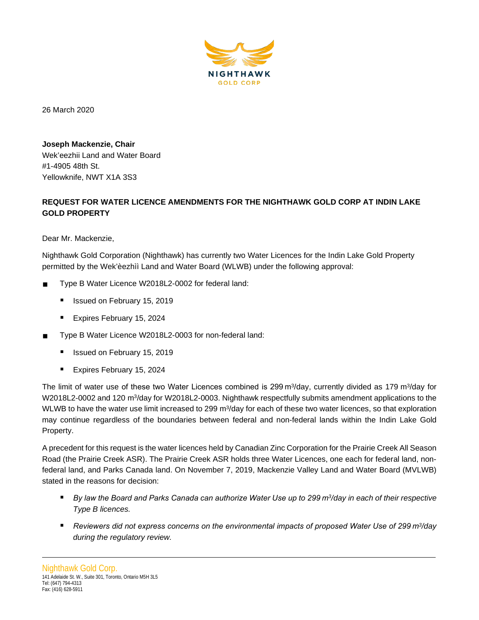

26 March 2020

**Joseph Mackenzie, Chair** Wek'eezhii Land and Water Board #1-4905 48th St. Yellowknife, NWT X1A 3S3

# **REQUEST FOR WATER LICENCE AMENDMENTS FOR THE NIGHTHAWK GOLD CORP AT INDIN LAKE GOLD PROPERTY**

Dear Mr. Mackenzie,

Nighthawk Gold Corporation (Nighthawk) has currently two Water Licences for the Indin Lake Gold Property permitted by the Wek'èezhìì Land and Water Board (WLWB) under the following approval:

- Type B Water Licence W2018L2-0002 for federal land:
	- Issued on February 15, 2019
	- Expires February 15, 2024
- Type B Water Licence W2018L2-0003 for non-federal land:
	- Issued on February 15, 2019
	- Expires February 15, 2024

The limit of water use of these two Water Licences combined is 299 m<sup>3</sup>/day, currently divided as 179 m<sup>3</sup>/day for W2018L2-0002 and 120 m<sup>3</sup>/day for W2018L2-0003. Nighthawk respectfully submits amendment applications to the WLWB to have the water use limit increased to 299 m<sup>3</sup>/day for each of these two water licences, so that exploration may continue regardless of the boundaries between federal and non-federal lands within the Indin Lake Gold Property.

A precedent for this request is the water licences held by Canadian Zinc Corporation for the Prairie Creek All Season Road (the Prairie Creek ASR). The Prairie Creek ASR holds three Water Licences, one each for federal land, nonfederal land, and Parks Canada land. On November 7, 2019, Mackenzie Valley Land and Water Board (MVLWB) stated in the reasons for decision:

- *By law the Board and Parks Canada can authorize Water Use up to 299 m3/day in each of their respective Type B licences.*
- *Reviewers did not express concerns on the environmental impacts of proposed Water Use of 299 m3/day during the regulatory review.*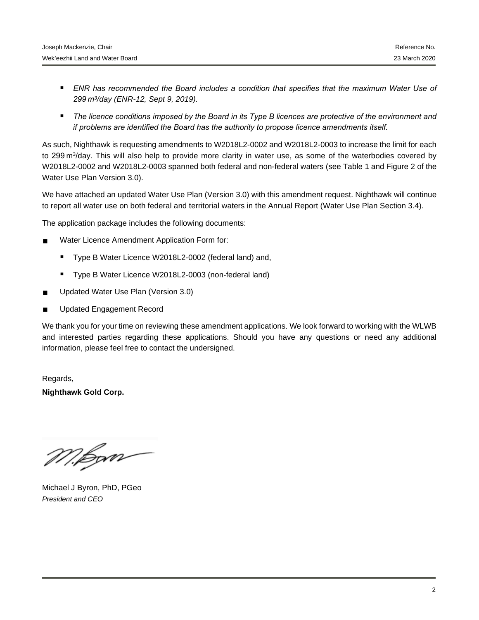- **ENR has recommended the Board includes a condition that specifies that the maximum Water Use of** *299 m3/day (ENR-12, Sept 9, 2019).*
- *The licence conditions imposed by the Board in its Type B licences are protective of the environment and if problems are identified the Board has the authority to propose licence amendments itself.*

As such, Nighthawk is requesting amendments to W2018L2-0002 and W2018L2-0003 to increase the limit for each to 299 m3/day. This will also help to provide more clarity in water use, as some of the waterbodies covered by W2018L2-0002 and W2018L2-0003 spanned both federal and non-federal waters (see Table 1 and Figure 2 of the Water Use Plan Version 3.0).

We have attached an updated Water Use Plan (Version 3.0) with this amendment request. Nighthawk will continue to report all water use on both federal and territorial waters in the Annual Report (Water Use Plan Section 3.4).

The application package includes the following documents:

- Water Licence Amendment Application Form for:
	- Type B Water Licence W2018L2-0002 (federal land) and,
	- Type B Water Licence W2018L2-0003 (non-federal land)
- Updated Water Use Plan (Version 3.0)
- Updated Engagement Record

We thank you for your time on reviewing these amendment applications. We look forward to working with the WLWB and interested parties regarding these applications. Should you have any questions or need any additional information, please feel free to contact the undersigned.

Regards, **Nighthawk Gold Corp.**

M.Bom

Michael J Byron, PhD, PGeo *President and CEO*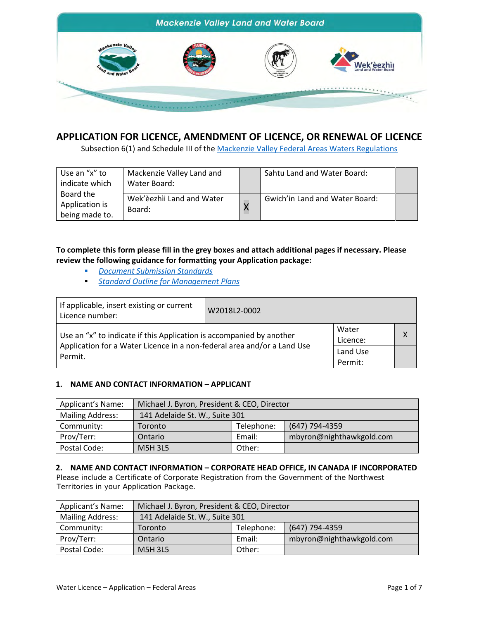

# **APPLICATION FOR LICENCE, AMENDMENT OF LICENCE, OR RENEWAL OF LICENCE**

Subsection 6(1) and Schedule III of th[e Mackenzie Valley Federal Areas Waters Regulations](http://laws-lois.justice.gc.ca/PDF/SOR-93-303.pdf)

| Use an "x" to<br>indicate which               | Mackenzie Valley Land and<br>Water Board: | Sahtu Land and Water Board:    |  |
|-----------------------------------------------|-------------------------------------------|--------------------------------|--|
| Board the<br>Application is<br>being made to. | Wek'èezhìi Land and Water<br>Board:       | Gwich'in Land and Water Board: |  |

**To complete this form please fill in the grey boxes and attach additional pages if necessary. Please review the following guidance for formatting your Application package:**

- *[Document Submission Standards](https://mvlwb.com/sites/default/files/mvlwb_document_submission_standards_-_jan_2019.pdf)*
- *[Standard Outline for Management Plans](https://glwb.com/sites/default/files/documents/wg/Standard%20Outline%20for%20Managment%20Plans%20-%20October%202013.pdf)*

| If applicable, insert existing or current<br>Licence number:                       | W2018L2-0002 |                     |   |
|------------------------------------------------------------------------------------|--------------|---------------------|---|
| Use an "x" to indicate if this Application is accompanied by another               |              | Water<br>Licence:   | X |
| Application for a Water Licence in a non-federal area and/or a Land Use<br>Permit. |              | Land Use<br>Permit: |   |

# **1. NAME AND CONTACT INFORMATION – APPLICANT**

| Applicant's Name:       | Michael J. Byron, President & CEO, Director |        |                          |  |  |
|-------------------------|---------------------------------------------|--------|--------------------------|--|--|
| <b>Mailing Address:</b> | 141 Adelaide St. W., Suite 301              |        |                          |  |  |
| Community:              | (647) 794-4359<br>Telephone:<br>Toronto     |        |                          |  |  |
| Prov/Terr:              | Ontario                                     | Email: | mbyron@nighthawkgold.com |  |  |
| Postal Code:            | <b>M5H 3L5</b>                              | Other: |                          |  |  |

# **2. NAME AND CONTACT INFORMATION – CORPORATE HEAD OFFICE, IN CANADA IF INCORPORATED**

Please include a Certificate of Corporate Registration from the Government of the Northwest Territories in your Application Package.

| <b>Applicant's Name:</b> | Michael J. Byron, President & CEO, Director |        |                          |  |
|--------------------------|---------------------------------------------|--------|--------------------------|--|
| <b>Mailing Address:</b>  | 141 Adelaide St. W., Suite 301              |        |                          |  |
| Community:               | (647) 794-4359<br>Telephone:<br>Toronto     |        |                          |  |
| Prov/Terr:               | Ontario                                     | Email: | mbyron@nighthawkgold.com |  |
| Postal Code:             | <b>M5H 3L5</b>                              | Other: |                          |  |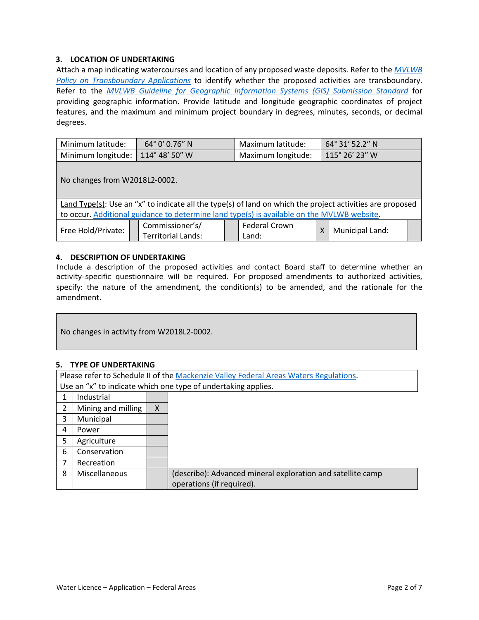# **3. LOCATION OF UNDERTAKING**

Attach a map indicating watercourses and location of any proposed waste deposits. Refer to the *[MVLWB](https://mvlwb.com/sites/default/files/documents/1.2-Transboundary-Applications-Oct-05.pdf) [Policy on Transboundary Applications](https://mvlwb.com/sites/default/files/documents/1.2-Transboundary-Applications-Oct-05.pdf)* to identify whether the proposed activities are transboundary. Refer to the *[MVLWB Guideline for Geographic Information Systems \(GIS\) Submission Standard](https://mvlwb.com/sites/default/files/documents/Guidelines/Standard%20for%20Maps%20and%20GIS%20Data%20Submission_Final_2016.pdf)* for providing geographic information. Provide latitude and longitude geographic coordinates of project features, and the maximum and minimum project boundary in degrees, minutes, seconds, or decimal degrees.

| Minimum latitude:                  | $64^{\circ}$ 0' 0.76" N | Maximum latitude:  | 64° 31′ 52.2″ N |
|------------------------------------|-------------------------|--------------------|-----------------|
| Minimum longitude:   114°48' 50" W |                         | Maximum longitude: | 115° 26' 23" W  |

No changes from W2018L2-0002.

Land Type(s): Use an "x" to indicate all the type(s) of land on which the project activities are proposed to occur[. Additional guidance to determine land type\(s\)](https://mvlwb.com/mackenzie-valley-land-and-water-board-maps) is available on the MVLWB website.

| Commissioner's/<br>Free Hold/Private:<br>Ferritorial Lands: |  | Federal Crown<br>Land: |  | Municipal Land: |  |
|-------------------------------------------------------------|--|------------------------|--|-----------------|--|
|-------------------------------------------------------------|--|------------------------|--|-----------------|--|

# **4. DESCRIPTION OF UNDERTAKING**

Include a description of the proposed activities and contact Board staff to determine whether an activity-specific questionnaire will be required. For proposed amendments to authorized activities, specify: the nature of the amendment, the condition(s) to be amended, and the rationale for the amendment.

No changes in activity from W2018L2-0002.

# **5. TYPE OF UNDERTAKING**

|   | Please refer to Schedule II of the Mackenzie Valley Federal Areas Waters Regulations. |              |                                                             |  |  |  |
|---|---------------------------------------------------------------------------------------|--------------|-------------------------------------------------------------|--|--|--|
|   | Use an "x" to indicate which one type of undertaking applies.                         |              |                                                             |  |  |  |
|   | Industrial                                                                            |              |                                                             |  |  |  |
| 2 | Mining and milling                                                                    | $\mathsf{X}$ |                                                             |  |  |  |
| 3 | Municipal                                                                             |              |                                                             |  |  |  |
| 4 | Power                                                                                 |              |                                                             |  |  |  |
| 5 | Agriculture                                                                           |              |                                                             |  |  |  |
| 6 | Conservation                                                                          |              |                                                             |  |  |  |
|   | Recreation                                                                            |              |                                                             |  |  |  |
| 8 | Miscellaneous                                                                         |              | (describe): Advanced mineral exploration and satellite camp |  |  |  |
|   |                                                                                       |              | operations (if required).                                   |  |  |  |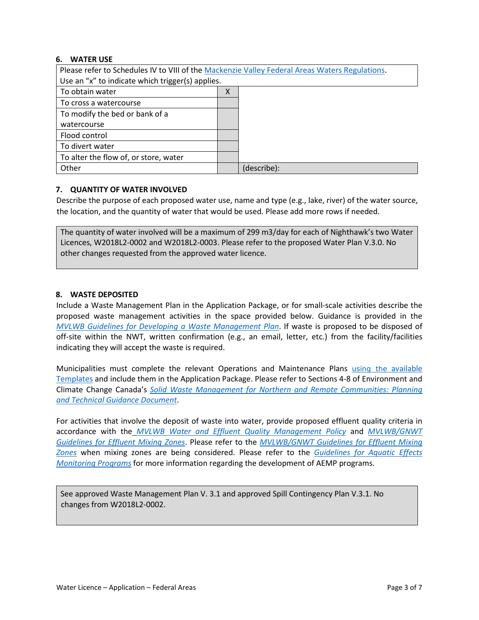# **6. WATER USE**

| Please refer to Schedules IV to VIII of the Mackenzie Valley Federal Areas Waters Regulations. |   |             |  |  |  |
|------------------------------------------------------------------------------------------------|---|-------------|--|--|--|
| Use an "x" to indicate which trigger(s) applies.                                               |   |             |  |  |  |
| To obtain water                                                                                | X |             |  |  |  |
| To cross a watercourse                                                                         |   |             |  |  |  |
| To modify the bed or bank of a                                                                 |   |             |  |  |  |
| watercourse                                                                                    |   |             |  |  |  |
| Flood control                                                                                  |   |             |  |  |  |
| To divert water                                                                                |   |             |  |  |  |
| To alter the flow of, or store, water                                                          |   |             |  |  |  |
| Other                                                                                          |   | (describe): |  |  |  |

#### **7. QUANTITY OF WATER INVOLVED**

Describe the purpose of each proposed water use, name and type (e.g., lake, river) of the water source, the location, and the quantity of water that would be used. Please add more rows if needed.

The quantity of water involved will be a maximum of 299 m3/day for each of Nighthawk's two Water Licences, W2018L2-0002 and W2018L2-0003. Please refer to the proposed Water Plan V.3.0. No other changes requested from the approved water licence.

#### **8. WASTE DEPOSITED**

Include a Waste Management Plan in the Application Package, or for small-scale activities describe the proposed waste management activities in the space provided below. Guidance is provided in the *[MVLWB Guidelines for Developing a Waste Management Plan](https://mvlwb.com/sites/default/files/documents/MVLWB-Guidelines-for-Developing-a-Waste-Management-Plan-Mar-31_11-JCWG.pdf)*. If waste is proposed to be disposed of off-site within the NWT, written confirmation (e.g., an email, letter, etc.) from the facility/facilities indicating they will accept the waste is required.

Municipalities must complete the relevant Operations and Maintenance Plans using the [available](https://mvlwb.com/mvlwb/apply-permit-licence) [Templates](https://mvlwb.com/mvlwb/apply-permit-licence) and include them in the Application Package. Please refer to Sections 4-8 of Environment and Climate Change Canada's *[Solid Waste Management for Northern and Remote Communities: Planning](https://mvlwb.com/sites/default/files/en14-263-2016-eng.pdf)  [and Technical Guidance Document](https://mvlwb.com/sites/default/files/en14-263-2016-eng.pdf)*.

For activities that involve the deposit of waste into water, provide proposed effluent quality criteria in accordance with the *[MVLWB Water and Effluent Quality Management Policy](https://mvlwb.com/sites/default/files/documents/MVLWB-Water-and-Effluent-Quality-Management-Policy-Mar-31_11-JCWG.pdf)* and *[MVLWB/GNWT](https://mvlwb.com/sites/default/files/images/Guidelines/Guidelines%20for%20Effluent%20Mixing%20Zones%20-%20Final%20Draft%20-%20June%202017_EDIT9.pdf)  [Guidelines for Effluent Mixing Zones](https://mvlwb.com/sites/default/files/images/Guidelines/Guidelines%20for%20Effluent%20Mixing%20Zones%20-%20Final%20Draft%20-%20June%202017_EDIT9.pdf)*. Please refer to the *[MVLWB/GNWT Guidelines for Effluent Mixing](https://mvlwb.com/sites/default/files/images/Guidelines/Guidelines%20for%20Effluent%20Mixing%20Zones%20-%20Final%20Draft%20-%20June%202017_EDIT9.pdf)  [Zones](https://mvlwb.com/sites/default/files/images/Guidelines/Guidelines%20for%20Effluent%20Mixing%20Zones%20-%20Final%20Draft%20-%20June%202017_EDIT9.pdf)* when mixing zones are being considered. Please refer to the *[Guidelines for Aquatic Effects](https://wlwb.ca/sites/default/files/aemp_guidelines_-_mar_5_19.pdf)  [Monitoring Programs](https://wlwb.ca/sites/default/files/aemp_guidelines_-_mar_5_19.pdf)* for more information regarding the development of AEMP programs.

See approved Waste Management Plan V. 3.1 and approved Spill Contingency Plan V.3.1. No changes from W2018L2-0002.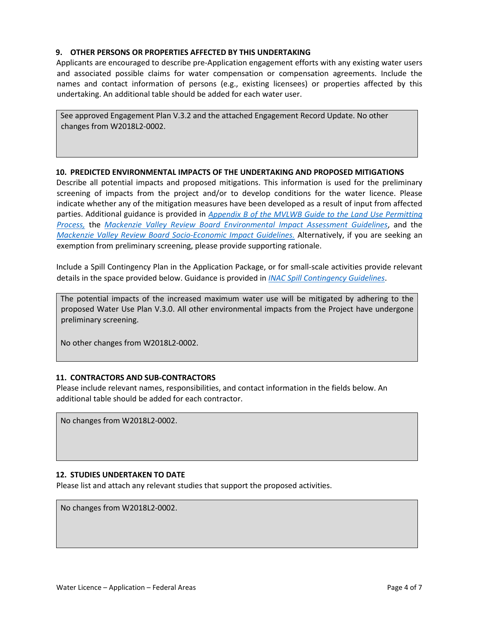# **9. OTHER PERSONS OR PROPERTIES AFFECTED BY THIS UNDERTAKING**

Applicants are encouraged to describe pre-Application engagement efforts with any existing water users and associated possible claims for water compensation or compensation agreements. Include the names and contact information of persons (e.g., existing licensees) or properties affected by this undertaking. An additional table should be added for each water user.

See approved Engagement Plan V.3.2 and the attached Engagement Record Update. No other changes from W2018L2-0002.

#### **10. PREDICTED ENVIRONMENTAL IMPACTS OF THE UNDERTAKING AND PROPOSED MITIGATIONS**

Describe all potential impacts and proposed mitigations. This information is used for the preliminary screening of impacts from the project and/or to develop conditions for the water licence. Please indicate whether any of the mitigation measures have been developed as a result of input from affected parties. Additional guidance is provided in *[Appendix B of the MVLWB Guide to the Land Use Permitting](https://glwb.com/sites/default/files/documents/MVLWB%20Land%20Use%20Appendix%20B_Fillable_0.pdf)  [Process,](https://glwb.com/sites/default/files/documents/MVLWB%20Land%20Use%20Appendix%20B_Fillable_0.pdf)* the *[Mackenzie Valley Review Board Environmental Impact Assessment Guidelines](http://reviewboard.ca/file/614/download?token=3dz7s5gt)*, and the *[Mackenzie Valley Review Board Socio-Economic Impact Guidelines.](http://reviewboard.ca/process_information/guidance_documentation/guidelines)* Alternatively, if you are seeking an exemption from preliminary screening, please provide supporting rationale.

Include a Spill Contingency Plan in the Application Package, or for small-scale activities provide relevant details in the space provided below. Guidance is provided in *[INAC Spill Contingency Guidelines](https://www.enr.gov.nt.ca/sites/enr/files/guidelines_for_spill_contingency_planning_2007.pdf)*.

The potential impacts of the increased maximum water use will be mitigated by adhering to the proposed Water Use Plan V.3.0. All other environmental impacts from the Project have undergone preliminary screening.

No other changes from W2018L2-0002.

# **11. CONTRACTORS AND SUB-CONTRACTORS**

Please include relevant names, responsibilities, and contact information in the fields below. An additional table should be added for each contractor.

No changes from W2018L2-0002.

# **12. STUDIES UNDERTAKEN TO DATE**

Please list and attach any relevant studies that support the proposed activities.

No changes from W2018L2-0002.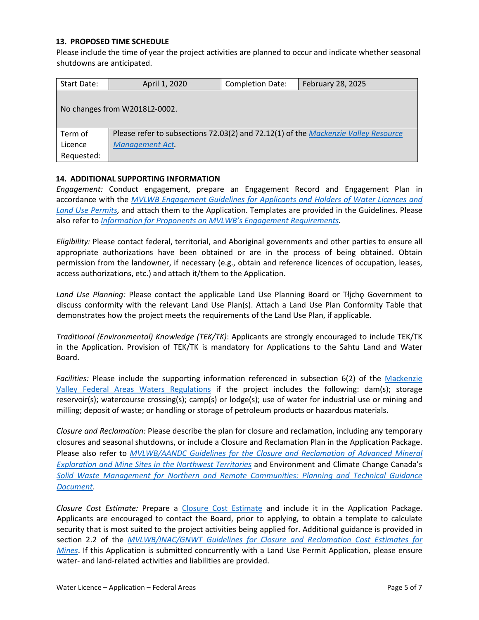# **13. PROPOSED TIME SCHEDULE**

Please include the time of year the project activities are planned to occur and indicate whether seasonal shutdowns are anticipated.

| Start Date: | April 1, 2020                                                                      | <b>Completion Date:</b> | February 28, 2025 |  |  |  |  |
|-------------|------------------------------------------------------------------------------------|-------------------------|-------------------|--|--|--|--|
|             |                                                                                    |                         |                   |  |  |  |  |
|             | No changes from W2018L2-0002.                                                      |                         |                   |  |  |  |  |
|             |                                                                                    |                         |                   |  |  |  |  |
| Term of     | Please refer to subsections 72.03(2) and 72.12(1) of the Mackenzie Valley Resource |                         |                   |  |  |  |  |
| Licence     | <b>Management Act.</b>                                                             |                         |                   |  |  |  |  |
| Requested:  |                                                                                    |                         |                   |  |  |  |  |

#### **14. ADDITIONAL SUPPORTING INFORMATION**

*Engagement:* Conduct engagement, prepare an Engagement Record and Engagement Plan in accordance with the *MVLWB Engagement Guidelines [for Applicants and Holders of Water Licences](https://mvlwb.com/sites/default/files/documents/wg/MVLWB%20Engagement%20Guidelines%20for%20Holders%20of%20LUPs%20and%20WLs%20-%20Oct%202014.pdf) and [Land Use Permits,](https://mvlwb.com/sites/default/files/documents/wg/MVLWB%20Engagement%20Guidelines%20for%20Holders%20of%20LUPs%20and%20WLs%20-%20Oct%202014.pdf)* and attach them to the Application. Templates are provided in the Guidelines. Please also refer to *[Information for Proponents on MVLWB's Engagement Requirements.](https://glwb.com/sites/default/files/documents/MVLWB%20Engagement%20Policy%20-%20Information%20for%20Proponents%20-%20Feb%2018_14.pdf)* 

*Eligibility:* Please contact federal, territorial, and Aboriginal governments and other parties to ensure all appropriate authorizations have been obtained or are in the process of being obtained. Obtain permission from the landowner, if necessary (e.g., obtain and reference licences of occupation, leases, access authorizations, etc.) and attach it/them to the Application.

Land Use Planning: Please contact the applicable Land Use Planning Board or Tłicho Government to discuss conformity with the relevant Land Use Plan(s). Attach a Land Use Plan Conformity Table that demonstrates how the project meets the requirements of the Land Use Plan, if applicable.

*Traditional (Environmental) Knowledge (TEK/TK)*: Applicants are strongly encouraged to include TEK/TK in the Application. Provision of TEK/TK is mandatory for Applications to the Sahtu Land and Water Board.

*Facilities:* Please include the supporting information referenced in subsection 6(2) of the [Mackenzie](https://mvlwb.com/sites/default/files/sor-93-303_1_0.pdf)  [Valley Federal Areas Waters Regulations](https://mvlwb.com/sites/default/files/sor-93-303_1_0.pdf) if the project includes the following: dam(s); storage reservoir(s); watercourse crossing(s); camp(s) or lodge(s); use of water for industrial use or mining and milling; deposit of waste; or handling or storage of petroleum products or hazardous materials.

*Closure and Reclamation:* Please describe the plan for closure and reclamation, including any temporary closures and seasonal shutdowns, or include a Closure and Reclamation Plan in the Application Package. Please also refer to *[MVLWB/AANDC Guidelines for the Closure and Reclamation of Advanced Mineral](https://glwb.com/sites/default/files/documents/wg/WLWB_5363_Guidelines_Closure_Reclamation_WR.pdf)  [Exploration and Mine Sites in the Northwest Territories](https://glwb.com/sites/default/files/documents/wg/WLWB_5363_Guidelines_Closure_Reclamation_WR.pdf)* and Environment and Climate Change Canada's *[Solid Waste Management for Northern and Remote Communities: Planning and Technical Guidance](https://mvlwb.com/sites/default/files/en14-263-2016-eng.pdf)  [Document](https://mvlwb.com/sites/default/files/en14-263-2016-eng.pdf)*.

*Closure Cost Estimate:* Prepare a [Closure Cost Estimate](https://mvlwb.com/sites/default/files/images/Closure%20Cost%20Estimating%20Guidelines_FINAL_Nov%2024%202017.pdf) and include it in the Application Package. Applicants are encouraged to contact the Board, prior to applying, to obtain a template to calculate security that is most suited to the project activities being applied for. Additional guidance is provided in section 2.2 of the *MVLWB/INAC/GNWT [Guidelines for Closure and Reclamation Cost Estimates for](https://mvlwb.com/sites/default/files/images/Closure%20Cost%20Estimating%20Guidelines_FINAL_Nov%2024%202017.pdf)  [Mines](https://mvlwb.com/sites/default/files/images/Closure%20Cost%20Estimating%20Guidelines_FINAL_Nov%2024%202017.pdf)*. If this Application is submitted concurrently with a Land Use Permit Application, please ensure water- and land-related activities and liabilities are provided.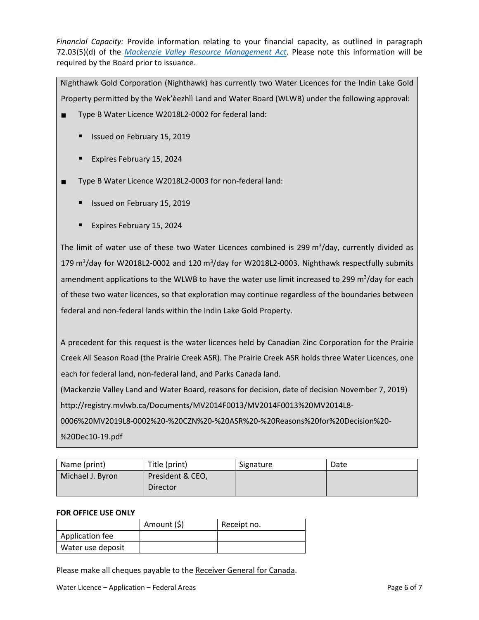*Financial Capacity:* Provide information relating to your financial capacity, as outlined in paragraph 72.03(5)(d) of the *[Mackenzie Valley Resource Management Act](https://mvlwb.com/sites/default/files/m-0.2.pdf)*. Please note this information will be required by the Board prior to issuance.

Nighthawk Gold Corporation (Nighthawk) has currently two Water Licences for the Indin Lake Gold Property permitted by the Wek'èezhìì Land and Water Board (WLWB) under the following approval:

- Type B Water Licence W2018L2-0002 for federal land:
	- **In Itsued on February 15, 2019**
	- **Expires February 15, 2024**
- Type B Water Licence W2018L2-0003 for non-federal land:
	- **In Issued on February 15, 2019**
	- Expires February 15, 2024

The limit of water use of these two Water Licences combined is 299 m<sup>3</sup>/day, currently divided as 179 m<sup>3</sup>/day for W2018L2-0002 and 120 m<sup>3</sup>/day for W2018L2-0003. Nighthawk respectfully submits amendment applications to the WLWB to have the water use limit increased to 299 m<sup>3</sup>/day for each of these two water licences, so that exploration may continue regardless of the boundaries between federal and non-federal lands within the Indin Lake Gold Property.

A precedent for this request is the water licences held by Canadian Zinc Corporation for the Prairie Creek All Season Road (the Prairie Creek ASR). The Prairie Creek ASR holds three Water Licences, one each for federal land, non-federal land, and Parks Canada land.

(Mackenzie Valley Land and Water Board, reasons for decision, date of decision November 7, 2019) [http://registry.mvlwb.ca/Documents/MV2014F0013/MV2014F0013%20MV2014L8-](http://registry.mvlwb.ca/Documents/MV2014F0013/MV2014F0013%20MV2014L8-0006%20MV2019L8-0002%20-%20CZN%20-%20ASR%20-%20Reasons%20for%20Decision%20-%20Dec10-19.pdf)

[0006%20MV2019L8-0002%20-%20CZN%20-%20ASR%20-%20Reasons%20for%20Decision%20-](http://registry.mvlwb.ca/Documents/MV2014F0013/MV2014F0013%20MV2014L8-0006%20MV2019L8-0002%20-%20CZN%20-%20ASR%20-%20Reasons%20for%20Decision%20-%20Dec10-19.pdf) [%20Dec10-19.pdf](http://registry.mvlwb.ca/Documents/MV2014F0013/MV2014F0013%20MV2014L8-0006%20MV2019L8-0002%20-%20CZN%20-%20ASR%20-%20Reasons%20for%20Decision%20-%20Dec10-19.pdf) 

| Name (print)     | Title (print)                | Signature | Date |
|------------------|------------------------------|-----------|------|
| Michael J. Byron | President & CEO,<br>Director |           |      |

# **FOR OFFICE USE ONLY**

|                   | Amount (\$) | Receipt no. |
|-------------------|-------------|-------------|
| Application fee   |             |             |
| Water use deposit |             |             |

Please make all cheques payable to the Receiver General for Canada.